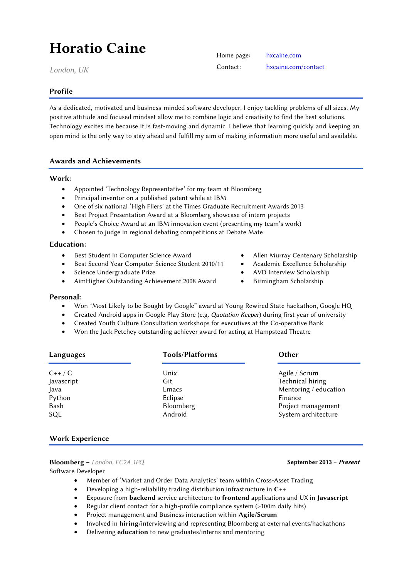# Horatio Caine

*London, UK*

# Profile

As a dedicated, motivated and business-minded software developer, I enjoy tackling problems of all sizes. My positive attitude and focused mindset allow me to combine logic and creativity to find the best solutions. Technology excites me because it is fast-moving and dynamic. I believe that learning quickly and keeping an open mind is the only way to stay ahead and fulfill my aim of making information more useful and available.

# Awards and Achievements

#### Work:

- Appointed 'Technology Representative' for my team at Bloomberg
- Principal inventor on a published patent while at IBM
- One of six national 'High Fliers' at the Times Graduate Recruitment Awards 2013
- Best Project Presentation Award at a Bloomberg showcase of intern projects
- People's Choice Award at an IBM innovation event (presenting my team's work)
- Chosen to judge in regional debating competitions at Debate Mate

#### Education:

- Best Student in Computer Science Award
- Best Second Year Computer Science Student 2010/11
- Science Undergraduate Prize
- AimHigher Outstanding Achievement 2008 Award
- Allen Murray Centenary Scholarship
- Academic Excellence Scholarship
- AVD Interview Scholarship
- 

# Personal:

- Won "Most Likely to be Bought by Google" award at Young Rewired State hackathon, Google HQ
- Created Android apps in Google Play Store (e.g. *Quotation Keeper*) during first year of university
- Created Youth Culture Consultation workshops for executives at the Co-operative Bank
- Won the Jack Petchey outstanding achiever award for acting at Hampstead Theatre

| Languages  | <b>Tools/Platforms</b> | Other                 |
|------------|------------------------|-----------------------|
| $C++/C$    | Unix                   | Agile / Scrum         |
| Javascript | Git                    | Technical hiring      |
| Java       | Emacs                  | Mentoring / education |
| Python     | Eclipse                | Finance               |
| Bash       | Bloomberg              | Project management    |
| SQL        | Android                | System architecture   |

# Work Experience

# Bloomberg – London, EC2A 1PQ **September 2013** – *Present*

Software Developer

- Member of 'Market and Order Data Analytics' team within Cross-Asset Trading
- Developing a high-reliability trading distribution infrastructure in C++
- Exposure from backend service architecture to frontend applications and UX in Javascript
- Regular client contact for a high-profile compliance system (>100m daily hits)
- Project management and Business interaction within Agile/Scrum
- Involved in hiring/interviewing and representing Bloomberg at external events/hackathons
- Delivering education to new graduates/interns and mentoring

- 
- 
- Birmingham Scholarship

Home page: [hxcaine.com](http://hxcaine.com/)

Contact: [hxcaine.com/contact](http://hxcaine.com/contact)